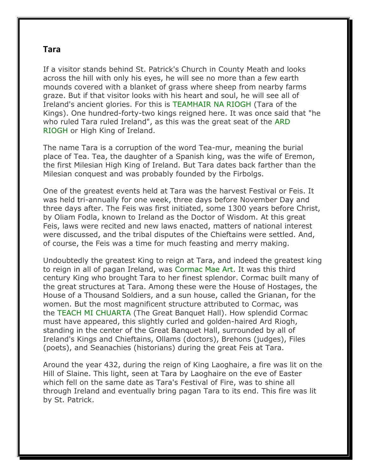## **Tara**

If a visitor stands behind St. Patrick's Church in County Meath and looks across the hill with only his eyes, he will see no more than a few earth mounds covered with a blanket of grass where sheep from nearby farms graze. But if that visitor looks with his heart and soul, he will see all of Ireland's ancient glories. For this is TEAMHAIR NA RIOGH (Tara of the Kings). One hundred-forty-two kings reigned here. It was once said that "he who ruled Tara ruled Ireland", as this was the great seat of the ARD RIOGH or High King of Ireland.

The name Tara is a corruption of the word Tea-mur, meaning the burial place of Tea. Tea, the daughter of a Spanish king, was the wife of Eremon, the first Milesian High King of Ireland. But Tara dates back farther than the Milesian conquest and was probably founded by the Firbolgs.

One of the greatest events held at Tara was the harvest Festival or Feis. It was held tri-annually for one week, three days before November Day and three days after. The Feis was first initiated, some 1300 years before Christ, by Oliam Fodla, known to Ireland as the Doctor of Wisdom. At this great Feis, laws were recited and new laws enacted, matters of national interest were discussed, and the tribal disputes of the Chieftains were settled. And, of course, the Feis was a time for much feasting and merry making.

Undoubtedly the greatest King to reign at Tara, and indeed the greatest king to reign in all of pagan Ireland, was Cormac Mae Art. It was this third century King who brought Tara to her finest splendor. Cormac built many of the great structures at Tara. Among these were the House of Hostages, the House of a Thousand Soldiers, and a sun house, called the Grianan, for the women. But the most magnificent structure attributed to Cormac, was the TEACH MI CHUARTA (The Great Banquet Hall). How splendid Cormac must have appeared, this slightly curled and golden-haired Ard Riogh, standing in the center of the Great Banquet Hall, surrounded by all of Ireland's Kings and Chieftains, Ollams (doctors), Brehons (judges), Files (poets), and Seanachies (historians) during the great Feis at Tara.

Around the year 432, during the reign of King Laoghaire, a fire was lit on the Hill of Slaine. This light, seen at Tara by Laoghaire on the eve of Easter which fell on the same date as Tara's Festival of Fire, was to shine all through Ireland and eventually bring pagan Tara to its end. This fire was lit by St. Patrick.